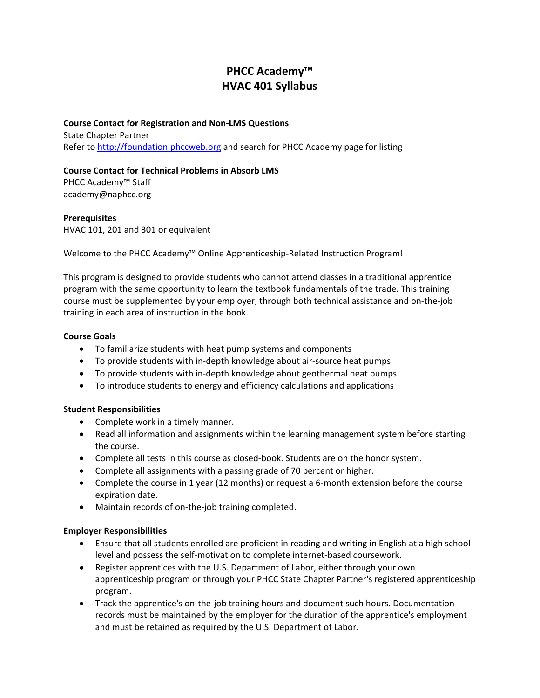# **PHCC Academy™ HVAC 401 Syllabus**

**Course Contact for Registration and Non‐LMS Questions** State Chapter Partner Refer to http://foundation.phccweb.org and search for PHCC Academy page for listing

### **Course Contact for Technical Problems in Absorb LMS**

PHCC Academy™ Staff academy@naphcc.org

#### **Prerequisites**

HVAC 101, 201 and 301 or equivalent

Welcome to the PHCC Academy<sup>™</sup> Online Apprenticeship-Related Instruction Program!

This program is designed to provide students who cannot attend classes in a traditional apprentice program with the same opportunity to learn the textbook fundamentals of the trade. This training course must be supplemented by your employer, through both technical assistance and on-the-job training in each area of instruction in the book.

#### **Course Goals**

- To familiarize students with heat pump systems and components
- To provide students with in‐depth knowledge about air‐source heat pumps
- To provide students with in-depth knowledge about geothermal heat pumps
- To introduce students to energy and efficiency calculations and applications

### **Student Responsibilities**

- Complete work in a timely manner.
- Read all information and assignments within the learning management system before starting the course.
- Complete all tests in this course as closed-book. Students are on the honor system.
- Complete all assignments with a passing grade of 70 percent or higher.
- Complete the course in 1 year (12 months) or request a 6‐month extension before the course expiration date.
- Maintain records of on-the-job training completed.

### **Employer Responsibilities**

- Ensure that all students enrolled are proficient in reading and writing in English at a high school level and possess the self‐motivation to complete internet‐based coursework.
- Register apprentices with the U.S. Department of Labor, either through your own apprenticeship program or through your PHCC State Chapter Partner's registered apprenticeship program.
- Track the apprentice's on-the-job training hours and document such hours. Documentation records must be maintained by the employer for the duration of the apprentice's employment and must be retained as required by the U.S. Department of Labor.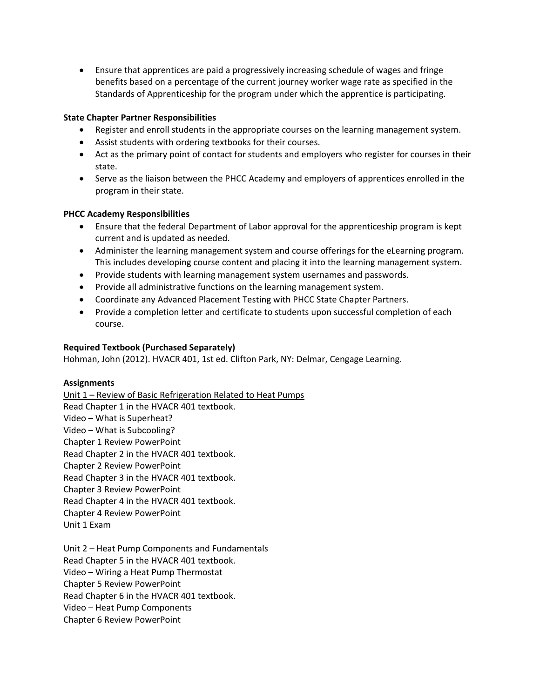Ensure that apprentices are paid a progressively increasing schedule of wages and fringe benefits based on a percentage of the current journey worker wage rate as specified in the Standards of Apprenticeship for the program under which the apprentice is participating.

# **State Chapter Partner Responsibilities**

- Register and enroll students in the appropriate courses on the learning management system.
- Assist students with ordering textbooks for their courses.
- Act as the primary point of contact for students and employers who register for courses in their state.
- Serve as the liaison between the PHCC Academy and employers of apprentices enrolled in the program in their state.

# **PHCC Academy Responsibilities**

- Ensure that the federal Department of Labor approval for the apprenticeship program is kept current and is updated as needed.
- Administer the learning management system and course offerings for the eLearning program. This includes developing course content and placing it into the learning management system.
- Provide students with learning management system usernames and passwords.
- Provide all administrative functions on the learning management system.
- Coordinate any Advanced Placement Testing with PHCC State Chapter Partners.
- Provide a completion letter and certificate to students upon successful completion of each course.

## **Required Textbook (Purchased Separately)**

Hohman, John (2012). HVACR 401, 1st ed. Clifton Park, NY: Delmar, Cengage Learning.

### **Assignments**

Unit 1 – Review of Basic Refrigeration Related to Heat Pumps Read Chapter 1 in the HVACR 401 textbook. Video – What is Superheat? Video – What is Subcooling? Chapter 1 Review PowerPoint Read Chapter 2 in the HVACR 401 textbook. Chapter 2 Review PowerPoint Read Chapter 3 in the HVACR 401 textbook. Chapter 3 Review PowerPoint Read Chapter 4 in the HVACR 401 textbook. Chapter 4 Review PowerPoint Unit 1 Exam

Unit 2 – Heat Pump Components and Fundamentals

Read Chapter 5 in the HVACR 401 textbook. Video – Wiring a Heat Pump Thermostat Chapter 5 Review PowerPoint Read Chapter 6 in the HVACR 401 textbook. Video – Heat Pump Components

Chapter 6 Review PowerPoint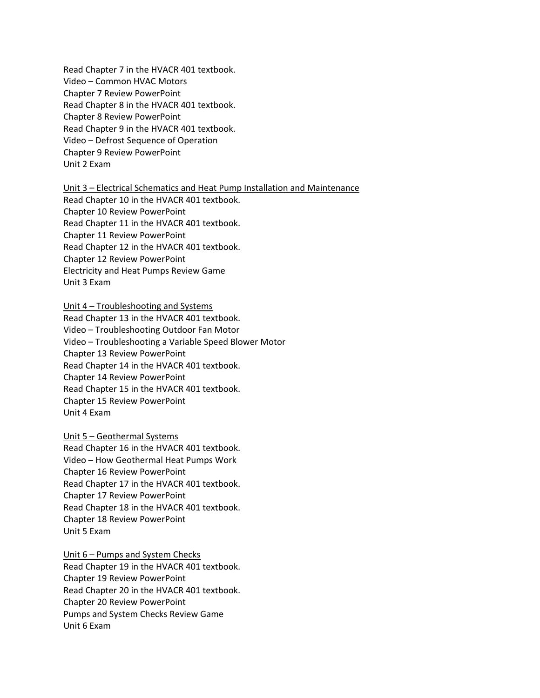Read Chapter 7 in the HVACR 401 textbook. Video – Common HVAC Motors Chapter 7 Review PowerPoint Read Chapter 8 in the HVACR 401 textbook. Chapter 8 Review PowerPoint Read Chapter 9 in the HVACR 401 textbook. Video – Defrost Sequence of Operation Chapter 9 Review PowerPoint Unit 2 Exam

Unit 3 – Electrical Schematics and Heat Pump Installation and Maintenance Read Chapter 10 in the HVACR 401 textbook. Chapter 10 Review PowerPoint Read Chapter 11 in the HVACR 401 textbook. Chapter 11 Review PowerPoint Read Chapter 12 in the HVACR 401 textbook. Chapter 12 Review PowerPoint Electricity and Heat Pumps Review Game Unit 3 Exam

Unit 4 – Troubleshooting and Systems Read Chapter 13 in the HVACR 401 textbook. Video – Troubleshooting Outdoor Fan Motor Video – Troubleshooting a Variable Speed Blower Motor Chapter 13 Review PowerPoint Read Chapter 14 in the HVACR 401 textbook. Chapter 14 Review PowerPoint Read Chapter 15 in the HVACR 401 textbook. Chapter 15 Review PowerPoint Unit 4 Exam

Unit 5 – Geothermal Systems Read Chapter 16 in the HVACR 401 textbook. Video – How Geothermal Heat Pumps Work Chapter 16 Review PowerPoint Read Chapter 17 in the HVACR 401 textbook. Chapter 17 Review PowerPoint Read Chapter 18 in the HVACR 401 textbook. Chapter 18 Review PowerPoint Unit 5 Exam

Unit 6 – Pumps and System Checks Read Chapter 19 in the HVACR 401 textbook. Chapter 19 Review PowerPoint Read Chapter 20 in the HVACR 401 textbook. Chapter 20 Review PowerPoint Pumps and System Checks Review Game Unit 6 Exam